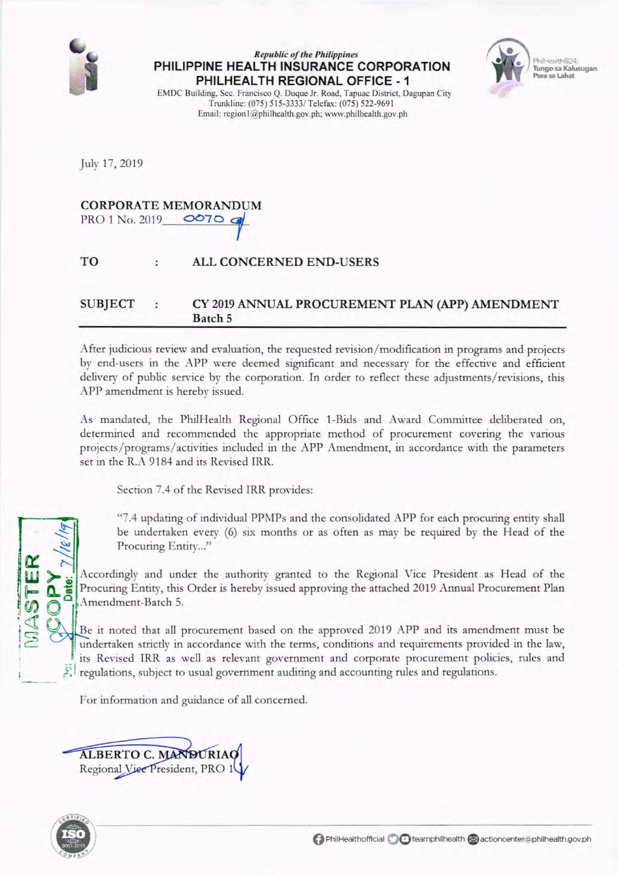

#### *Republic of the Philippines*  **PHILIPPINE HEALTH INSURANCE CORPORATION PHILHEAL TH REGIONAL OFFICE - 1**



EMDC Building, Sec. Francisco Q. Duque Jr. Road, Tapuac District. Dagupan City Trunklinc: (075) 515-3333/ Telefax: (075) 522-9691 Email: region1@philhealth.gov.ph; www.philhealth.gov.ph

July 17, 2019

# CORPORATE MEMORANDUM<br>PRO 1 No. 2019 **OCTO**

## TO ALL CONCERNED END-USERS

## SUBJECT : CY 2019 ANNUAL PROCUREMENT PLAN (APP) AMENDMENT Batch 5

After judicious review and evaluation, the requested revision/ modification in programs and projects by end-users in the APP were deemed significant and necessary for the effective and efficient delivery of public service by the corporation. In order to reflect these adjustments/ revisions, this APP amendment is hereby issued.

As mandated, the PhilHealth Regional Office 1-Bids and Award Committee deliberated on, determined and recommended the appropriate method of procurement covering the various projects/programs/activities included in the APP Amendment, in accordance with the parameters set in the R.A 9184 and its Revised IRR.

Section 7.4 of the Revised IRR provides:

"7.4 updating of individual PPMPs and the consolidated APP for each procuring entity shall be undertaken every (6) six months or as often as may be required by the Head of the Procuring Entity..."

Accordingly and under the authority granted to the Regional Vice President as Head of the Procuring Entity, this Order is hereby issued approving the attached 2019 Annual Procurement Plan Amendment-Batch 5.

Be it noted that all procurement based on the approved 2019 APP and its amendment must be undertaken strictly in accordance with the terms, conditions and requirements provided in the law, its Revised IRR as well as relevant government and corporate procurement policies, rules and ; ?: I regulations, subject to usual government auditing and accounting rules and regulations.

For information and guidance of all concerned.





 $\mathbf{r}$   $\sim$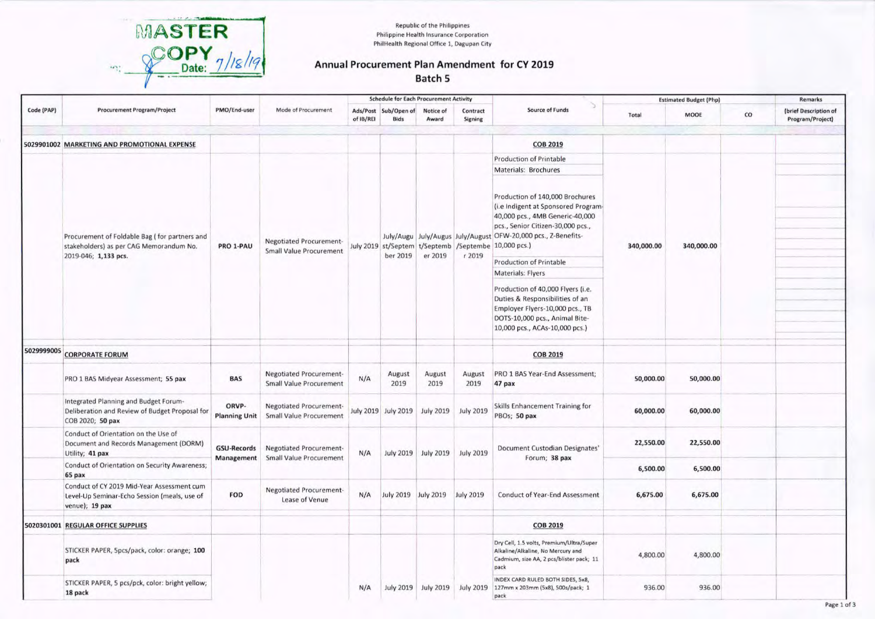

**Republic of the Philippines** Philippine Health Insurance Corporation PhilHealth Regional Office 1, Dagupan City

#### **Annual Procurement Plan Amendment for CY 2019 Batch 5**

|            | <b>Procurement Program/Project</b>                                                                           | PMO/End-user                     | Mode of Procurement                                              | <b>Schedule for Each Procurement Activity</b> |                                     |                               |                               |                                                                                                                                                                                                                                                                             | <b>Estimated Budget (Php)</b> |            |    | Remarks                                   |
|------------|--------------------------------------------------------------------------------------------------------------|----------------------------------|------------------------------------------------------------------|-----------------------------------------------|-------------------------------------|-------------------------------|-------------------------------|-----------------------------------------------------------------------------------------------------------------------------------------------------------------------------------------------------------------------------------------------------------------------------|-------------------------------|------------|----|-------------------------------------------|
| Code (PAP) |                                                                                                              |                                  |                                                                  | of IB/REI                                     | Ads/Post Sub/Open of<br><b>Bids</b> | Notice of<br>Award            | Contract<br>Signing           | <b>Source of Funds</b>                                                                                                                                                                                                                                                      | Total                         | MOOE       | co | (brief Description of<br>Program/Project) |
|            | 5029901002 MARKETING AND PROMOTIONAL EXPENSE                                                                 |                                  |                                                                  |                                               |                                     |                               |                               | <b>COB 2019</b>                                                                                                                                                                                                                                                             |                               |            |    |                                           |
|            |                                                                                                              |                                  |                                                                  |                                               |                                     |                               |                               | Production of Printable                                                                                                                                                                                                                                                     |                               |            |    |                                           |
|            |                                                                                                              | PRO 1-PAU                        | Negotiated Procurement-<br><b>Small Value Procurement</b>        |                                               | ber 2019                            | er 2019                       | r 2019                        | Materials: Brochures                                                                                                                                                                                                                                                        | 340,000.00                    | 340,000.00 |    |                                           |
|            | Procurement of Foldable Bag (for partners and<br>stakeholders) as per CAG Memorandum No.                     |                                  |                                                                  |                                               |                                     |                               |                               | Production of 140,000 Brochures<br>(i.e Indigent at Sponsored Program-<br>40,000 pcs., 4MB Generic-40,000<br>pcs., Senior Citizen-30,000 pcs.,<br>July/Augu   July/Augus   July/August OFW-20,000 pcs., Z-Benefits-<br>July 2019 st/Septem t/Septemb /Septembe 10,000 pcs.) |                               |            |    |                                           |
|            | 2019-046; 1,133 pcs.                                                                                         |                                  |                                                                  |                                               |                                     |                               |                               | <b>Production of Printable</b>                                                                                                                                                                                                                                              |                               |            |    |                                           |
|            |                                                                                                              |                                  |                                                                  |                                               |                                     |                               |                               | Materials: Flyers                                                                                                                                                                                                                                                           |                               |            |    |                                           |
|            |                                                                                                              |                                  |                                                                  |                                               |                                     |                               |                               | Production of 40,000 Flyers (i.e.<br>Duties & Responsibilities of an<br>Employer Flyers-10,000 pcs., TB<br>DOTS-10,000 pcs., Animal Bite-<br>10,000 pcs., ACAs-10,000 pcs.)                                                                                                 |                               |            |    |                                           |
|            | 5029999005 CORPORATE FORUM                                                                                   |                                  |                                                                  |                                               |                                     |                               |                               | <b>COB 2019</b>                                                                                                                                                                                                                                                             |                               |            |    |                                           |
|            | PRO 1 BAS Midyear Assessment; 55 pax                                                                         | <b>BAS</b>                       | Negotiated Procurement-<br><b>Small Value Procurement</b>        | N/A                                           | August<br>2019                      | August<br>2019                | August<br>2019                | PRO 1 BAS Year-End Assessment;<br>47 pax                                                                                                                                                                                                                                    | 50,000.00                     | 50,000.00  |    |                                           |
|            | Integrated Planning and Budget Forum-<br>Deliberation and Review of Budget Proposal for<br>COB 2020; 50 pax  | ORVP-<br><b>Planning Unit</b>    | <b>Negotiated Procurement-</b><br><b>Small Value Procurement</b> |                                               | July 2019 July 2019                 | <b>July 2019</b>              | <b>July 2019</b>              | Skills Enhancement Training for<br>PBOs; 50 pax                                                                                                                                                                                                                             | 60,000.00                     | 60,000.00  |    |                                           |
|            | Conduct of Orientation on the Use of<br>Document and Records Management (DORM)<br>Utility; 41 pax            | <b>GSU-Records</b><br>Management | <b>Negotiated Procurement-</b><br>Small Value Procurement        | N/A                                           |                                     |                               | July 2019 July 2019 July 2019 | Document Custodian Designates'<br>Forum; 38 pax                                                                                                                                                                                                                             | 22,550.00                     | 22,550.00  |    |                                           |
|            | Conduct of Orientation on Security Awareness;<br>65 pax                                                      |                                  |                                                                  |                                               |                                     |                               |                               |                                                                                                                                                                                                                                                                             | 6,500.00                      | 6,500.00   |    |                                           |
|            | Conduct of CY 2019 Mid-Year Assessment cum<br>Level-Up Seminar-Echo Session (meals, use of<br>venue); 19 pax | FOD                              | Negotiated Procurement-<br>Lease of Venue                        | N/A                                           |                                     | July 2019 July 2019 July 2019 |                               | <b>Conduct of Year-End Assessment</b>                                                                                                                                                                                                                                       | 6,675.00                      | 6,675.00   |    |                                           |
|            | 5020301001 REGULAR OFFICE SUPPLIES                                                                           |                                  |                                                                  |                                               |                                     |                               |                               | <b>COB 2019</b>                                                                                                                                                                                                                                                             |                               |            |    |                                           |
|            | STICKER PAPER, Spcs/pack, color: orange; 100<br>pack                                                         |                                  |                                                                  |                                               |                                     |                               |                               | Dry Cell, 1.5 volts, Premium/Ultra/Super<br>Alkaline/Alkaline, No Mercury and<br>Cadmium, size AA, 2 pcs/blister pack; 11<br>pack                                                                                                                                           | 4,800.00                      | 4,800.00   |    |                                           |
|            | STICKER PAPER, 5 pcs/pck, color: bright yellow;<br>18 pack                                                   |                                  |                                                                  | N/A                                           |                                     |                               |                               | INDEX CARD RULED BOTH SIDES, 5x8,<br>July 2019 July 2019 July 2019 127mm x 203mm (5x8), 500s/pack; 1<br>pack                                                                                                                                                                | 936.00                        | 936.00     |    |                                           |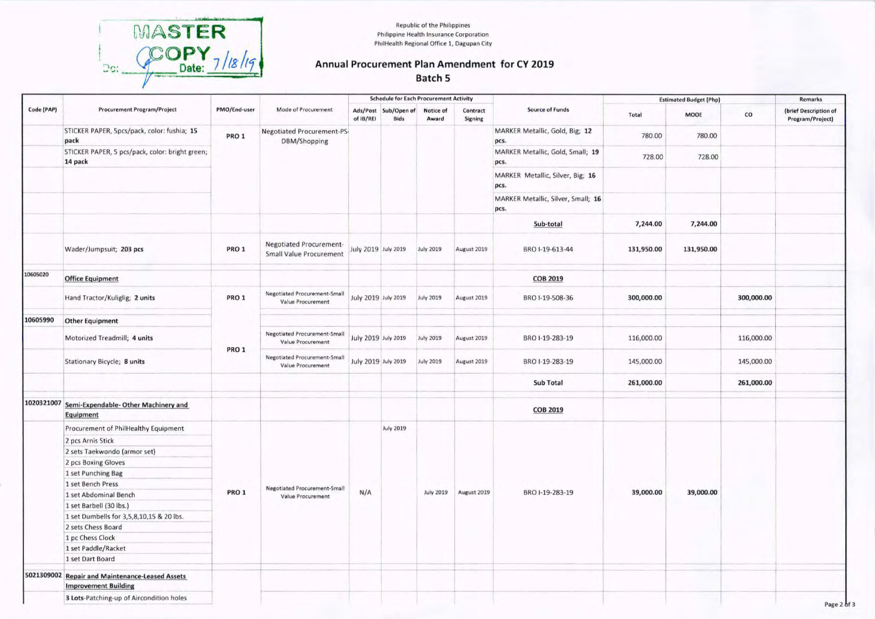

**Republic of the Philippines** Philippine Health Insurance Corporation PhilHealth Regional Office 1, Dagupan City

### Annual Procurement Plan Amendment for CY 2019 Batch 5

|            |                                                                                |              |                                                           | <b>Schedule for Each Procurement Activity</b> |                                     |                    |                            |                                            | <b>Estimated Budget (Php)</b> |            |            | <b>Remarks</b>                            |
|------------|--------------------------------------------------------------------------------|--------------|-----------------------------------------------------------|-----------------------------------------------|-------------------------------------|--------------------|----------------------------|--------------------------------------------|-------------------------------|------------|------------|-------------------------------------------|
| Code (PAP) | <b>Procurement Program/Project</b>                                             | PMO/End-user | Mode of Procurement                                       | of IB/REI                                     | Ads/Post Sub/Open of<br><b>Bids</b> | Notice of<br>Award | Contract<br><b>Signing</b> | <b>Source of Funds</b>                     | Total                         | MOOE       | co         | (brief Description of<br>Program/Project) |
|            | STICKER PAPER, Spcs/pack, color: fushia; 15<br>pack                            | PRO 1        | Negotiated Procurement-PS-<br>DBM/Shopping                |                                               |                                     |                    |                            | MARKER Metallic, Gold, Big; 12<br>pcs.     | 780.00                        | 780.00     |            |                                           |
|            | STICKER PAPER, 5 pcs/pack, color: bright green;<br>14 pack                     |              |                                                           |                                               |                                     |                    |                            | MARKER Metallic, Gold, Small; 19<br>pcs.   | 728.00                        | 728.00     |            |                                           |
|            |                                                                                |              |                                                           |                                               |                                     |                    |                            | MARKER Metallic, Silver, Big; 16<br>pcs.   |                               |            |            |                                           |
|            |                                                                                |              |                                                           |                                               |                                     |                    |                            | MARKER Metallic, Silver, Small; 16<br>pcs. |                               |            |            |                                           |
|            |                                                                                |              |                                                           |                                               |                                     |                    |                            | Sub-total                                  | 7,244.00                      | 7,244.00   |            |                                           |
|            | Wader/Jumpsuit; 203 pcs                                                        | PRO 1        | Negotiated Procurement-<br><b>Small Value Procurement</b> | July 2019 July 2019                           |                                     | <b>July 2019</b>   | August 2019                | BRO I-19-613-44                            | 131,950.00                    | 131,950.00 |            |                                           |
| 10605020   | <b>Office Equipment</b>                                                        |              |                                                           |                                               |                                     |                    |                            | <b>COB 2019</b>                            |                               |            |            |                                           |
|            | Hand Tractor/Kuliglig; 2 units                                                 | PRO 1        | <b>Negotiated Procurement-Small</b><br>Value Procurement  | July 2019 July 2019                           |                                     | <b>July 2019</b>   | August 2019                | BRO I-19-508-36                            | 300,000.00                    |            | 300,000.00 |                                           |
| 10605990   | <b>Other Equipment</b>                                                         | PRO 1        |                                                           |                                               |                                     |                    |                            |                                            |                               |            |            |                                           |
|            | Motorized Treadmill; 4 units                                                   |              | <b>Negotiated Procurement-Small</b><br>Value Procurement  | July 2019 July 2019                           |                                     | <b>July 2019</b>   | August 2019                | BRO I-19-283-19                            | 116,000.00                    |            | 116,000.00 |                                           |
|            | Stationary Bicycle; 8 units                                                    |              | <b>Negotiated Procurement-Small</b><br>Value Procurement  | July 2019 July 2019                           |                                     | <b>July 2019</b>   | August 2019                | BRO I-19-283-19                            | 145,000.00                    |            | 145,000.00 |                                           |
|            |                                                                                |              |                                                           |                                               |                                     |                    |                            | Sub Total                                  | 261,000.00                    |            | 261,000.00 |                                           |
|            | 1020321007 Semi-Expendable-Other Machinery and<br><b>Equipment</b>             |              |                                                           |                                               |                                     |                    |                            | <b>COB 2019</b>                            |                               |            |            |                                           |
|            | Procurement of PhilHealthy Equipment                                           | PRO 1        |                                                           |                                               | <b>July 2019</b>                    | <b>July 2019</b>   | August 2019                | BRO I-19-283-19                            | 39,000.00                     | 39,000.00  |            |                                           |
|            | 2 pcs Arnis Stick                                                              |              |                                                           |                                               |                                     |                    |                            |                                            |                               |            |            |                                           |
|            | 2 sets Taekwondo (armor set)                                                   |              |                                                           |                                               |                                     |                    |                            |                                            |                               |            |            |                                           |
|            | 2 pcs Boxing Gloves                                                            |              | <b>Negotiated Procurement-Small</b><br>Value Procurement  | N/A                                           |                                     |                    |                            |                                            |                               |            |            |                                           |
|            | 1 set Punching Bag                                                             |              |                                                           |                                               |                                     |                    |                            |                                            |                               |            |            |                                           |
|            | 1 set Bench Press                                                              |              |                                                           |                                               |                                     |                    |                            |                                            |                               |            |            |                                           |
|            | 1 set Abdominal Bench                                                          |              |                                                           |                                               |                                     |                    |                            |                                            |                               |            |            |                                           |
|            | 1 set Barbell (30 lbs.)                                                        |              |                                                           |                                               |                                     |                    |                            |                                            |                               |            |            |                                           |
|            | 1 set Dumbells for 3,5,8,10,15 & 20 lbs.                                       |              |                                                           |                                               |                                     |                    |                            |                                            |                               |            |            |                                           |
|            | 2 sets Chess Board                                                             |              |                                                           |                                               |                                     |                    |                            |                                            |                               |            |            |                                           |
|            | 1 pc Chess Clock                                                               |              |                                                           |                                               |                                     |                    |                            |                                            |                               |            |            |                                           |
|            | 1 set Paddle/Racket                                                            |              |                                                           |                                               |                                     |                    |                            |                                            |                               |            |            |                                           |
|            | 1 set Dart Board                                                               |              |                                                           |                                               |                                     |                    |                            |                                            |                               |            |            |                                           |
|            | 5021309002 Repair and Maintenance-Leased Assets<br><b>Improvement Building</b> |              |                                                           |                                               |                                     |                    |                            |                                            |                               |            |            |                                           |
|            | 3 Lots-Patching-up of Aircondition holes                                       |              |                                                           |                                               |                                     |                    |                            |                                            |                               |            |            |                                           |